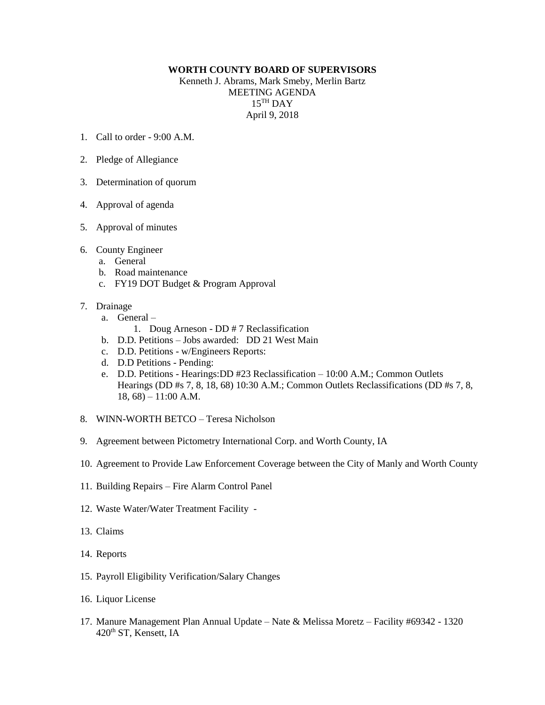## **WORTH COUNTY BOARD OF SUPERVISORS**

Kenneth J. Abrams, Mark Smeby, Merlin Bartz MEETING AGENDA 15 TH DAY April 9, 2018

- 1. Call to order  $9.00 \text{ A M}$
- 2. Pledge of Allegiance
- 3. Determination of quorum
- 4. Approval of agenda
- 5. Approval of minutes
- 6. County Engineer
	- a. General
	- b. Road maintenance
	- c. FY19 DOT Budget & Program Approval

## 7. Drainage

- a. General
	- 1. Doug Arneson DD # 7 Reclassification
- b. D.D. Petitions Jobs awarded: DD 21 West Main
- c. D.D. Petitions w/Engineers Reports:
- d. D.D Petitions Pending:
- e. D.D. Petitions Hearings:DD #23 Reclassification 10:00 A.M.; Common Outlets Hearings (DD #s 7, 8, 18, 68) 10:30 A.M.; Common Outlets Reclassifications (DD #s 7, 8, 18, 68) – 11:00 A.M.
- 8. WINN-WORTH BETCO Teresa Nicholson
- 9. Agreement between Pictometry International Corp. and Worth County, IA
- 10. Agreement to Provide Law Enforcement Coverage between the City of Manly and Worth County
- 11. Building Repairs Fire Alarm Control Panel
- 12. Waste Water/Water Treatment Facility -
- 13. Claims
- 14. Reports
- 15. Payroll Eligibility Verification/Salary Changes
- 16. Liquor License
- 17. Manure Management Plan Annual Update Nate & Melissa Moretz Facility #69342 1320 420th ST, Kensett, IA